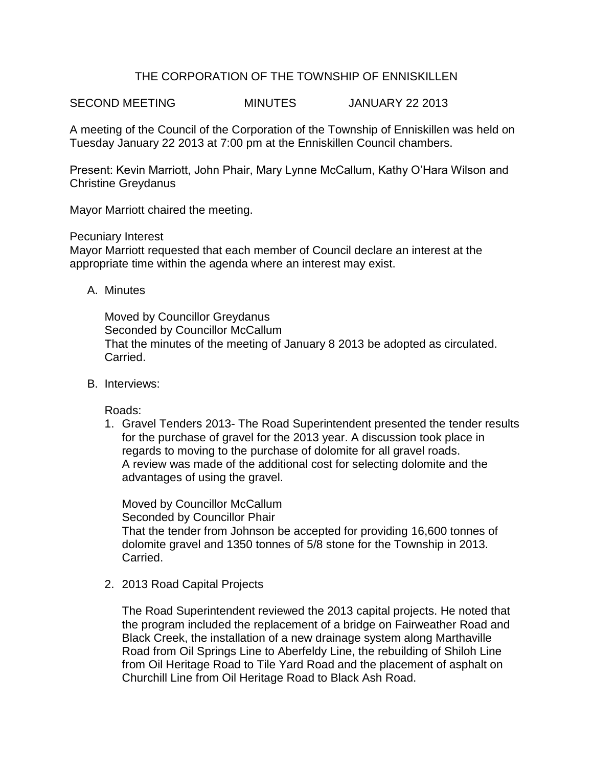# THE CORPORATION OF THE TOWNSHIP OF ENNISKILLEN

SECOND MEETING MINUTES JANUARY 22 2013

A meeting of the Council of the Corporation of the Township of Enniskillen was held on Tuesday January 22 2013 at 7:00 pm at the Enniskillen Council chambers.

Present: Kevin Marriott, John Phair, Mary Lynne McCallum, Kathy O'Hara Wilson and Christine Greydanus

Mayor Marriott chaired the meeting.

Pecuniary Interest

Mayor Marriott requested that each member of Council declare an interest at the appropriate time within the agenda where an interest may exist.

A. Minutes

Moved by Councillor Greydanus Seconded by Councillor McCallum That the minutes of the meeting of January 8 2013 be adopted as circulated. Carried.

B. Interviews:

Roads:

1. Gravel Tenders 2013- The Road Superintendent presented the tender results for the purchase of gravel for the 2013 year. A discussion took place in regards to moving to the purchase of dolomite for all gravel roads. A review was made of the additional cost for selecting dolomite and the advantages of using the gravel.

Moved by Councillor McCallum Seconded by Councillor Phair That the tender from Johnson be accepted for providing 16,600 tonnes of dolomite gravel and 1350 tonnes of 5/8 stone for the Township in 2013. Carried.

2. 2013 Road Capital Projects

The Road Superintendent reviewed the 2013 capital projects. He noted that the program included the replacement of a bridge on Fairweather Road and Black Creek, the installation of a new drainage system along Marthaville Road from Oil Springs Line to Aberfeldy Line, the rebuilding of Shiloh Line from Oil Heritage Road to Tile Yard Road and the placement of asphalt on Churchill Line from Oil Heritage Road to Black Ash Road.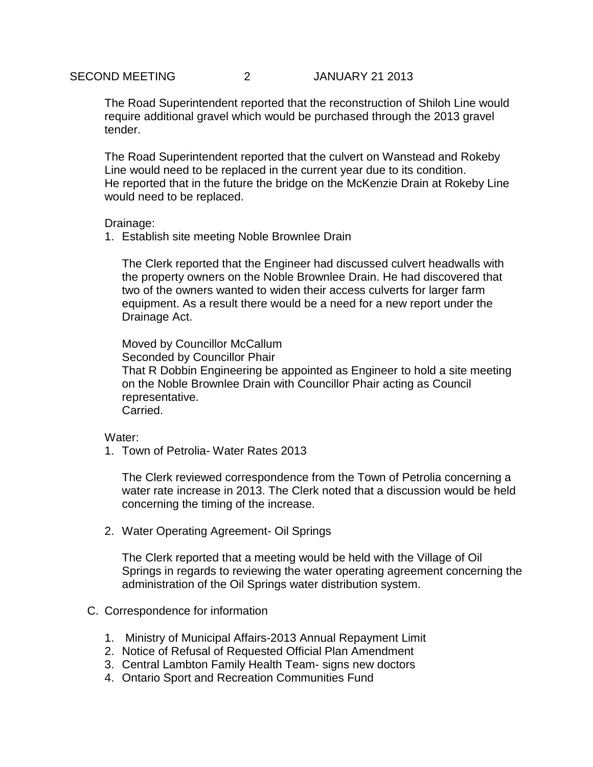The Road Superintendent reported that the reconstruction of Shiloh Line would require additional gravel which would be purchased through the 2013 gravel tender.

The Road Superintendent reported that the culvert on Wanstead and Rokeby Line would need to be replaced in the current year due to its condition. He reported that in the future the bridge on the McKenzie Drain at Rokeby Line would need to be replaced.

## Drainage:

1. Establish site meeting Noble Brownlee Drain

The Clerk reported that the Engineer had discussed culvert headwalls with the property owners on the Noble Brownlee Drain. He had discovered that two of the owners wanted to widen their access culverts for larger farm equipment. As a result there would be a need for a new report under the Drainage Act.

Moved by Councillor McCallum Seconded by Councillor Phair That R Dobbin Engineering be appointed as Engineer to hold a site meeting on the Noble Brownlee Drain with Councillor Phair acting as Council representative. Carried.

### Water:

1. Town of Petrolia- Water Rates 2013

The Clerk reviewed correspondence from the Town of Petrolia concerning a water rate increase in 2013. The Clerk noted that a discussion would be held concerning the timing of the increase.

2. Water Operating Agreement- Oil Springs

The Clerk reported that a meeting would be held with the Village of Oil Springs in regards to reviewing the water operating agreement concerning the administration of the Oil Springs water distribution system.

- C. Correspondence for information
	- 1. Ministry of Municipal Affairs-2013 Annual Repayment Limit
	- 2. Notice of Refusal of Requested Official Plan Amendment
	- 3. Central Lambton Family Health Team- signs new doctors
	- 4. Ontario Sport and Recreation Communities Fund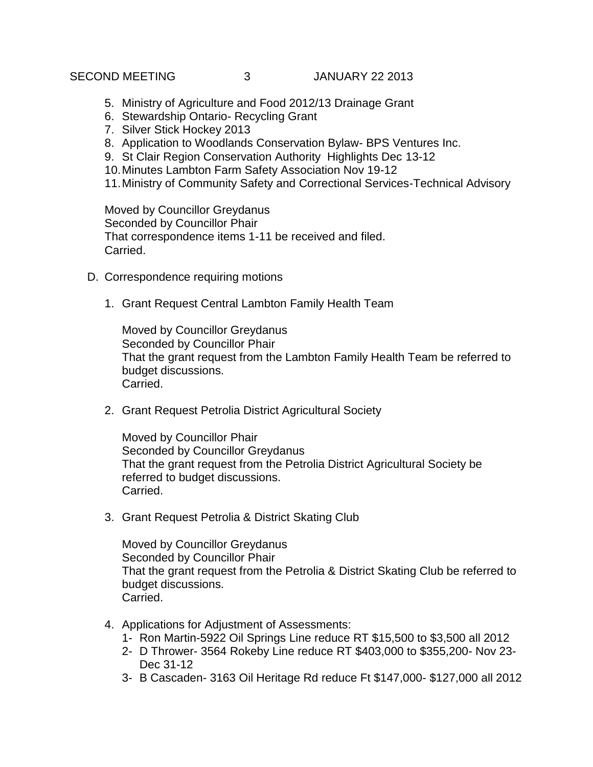SECOND MEETING 3 JANUARY 22 2013

- 5. Ministry of Agriculture and Food 2012/13 Drainage Grant
- 6. Stewardship Ontario- Recycling Grant
- 7. Silver Stick Hockey 2013
- 8. Application to Woodlands Conservation Bylaw- BPS Ventures Inc.
- 9. St Clair Region Conservation Authority Highlights Dec 13-12
- 10.Minutes Lambton Farm Safety Association Nov 19-12
- 11.Ministry of Community Safety and Correctional Services-Technical Advisory

Moved by Councillor Greydanus Seconded by Councillor Phair That correspondence items 1-11 be received and filed. Carried.

- D. Correspondence requiring motions
	- 1. Grant Request Central Lambton Family Health Team

Moved by Councillor Greydanus Seconded by Councillor Phair That the grant request from the Lambton Family Health Team be referred to budget discussions. Carried.

2. Grant Request Petrolia District Agricultural Society

Moved by Councillor Phair Seconded by Councillor Greydanus That the grant request from the Petrolia District Agricultural Society be referred to budget discussions. Carried.

3. Grant Request Petrolia & District Skating Club

Moved by Councillor Greydanus Seconded by Councillor Phair That the grant request from the Petrolia & District Skating Club be referred to budget discussions. Carried.

- 4. Applications for Adjustment of Assessments:
	- 1- Ron Martin-5922 Oil Springs Line reduce RT \$15,500 to \$3,500 all 2012
	- 2- D Thrower- 3564 Rokeby Line reduce RT \$403,000 to \$355,200- Nov 23- Dec 31-12
	- 3- B Cascaden- 3163 Oil Heritage Rd reduce Ft \$147,000- \$127,000 all 2012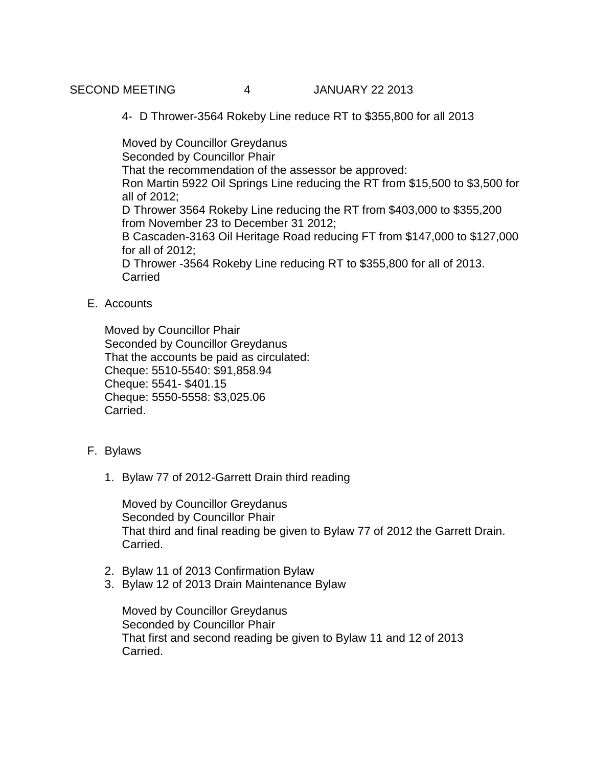SECOND MEETING 4 JANUARY 22 2013

4- D Thrower-3564 Rokeby Line reduce RT to \$355,800 for all 2013

Moved by Councillor Greydanus Seconded by Councillor Phair That the recommendation of the assessor be approved: Ron Martin 5922 Oil Springs Line reducing the RT from \$15,500 to \$3,500 for all of 2012; D Thrower 3564 Rokeby Line reducing the RT from \$403,000 to \$355,200 from November 23 to December 31 2012; B Cascaden-3163 Oil Heritage Road reducing FT from \$147,000 to \$127,000 for all of 2012; D Thrower -3564 Rokeby Line reducing RT to \$355,800 for all of 2013. **Carried** 

# E. Accounts

Moved by Councillor Phair Seconded by Councillor Greydanus That the accounts be paid as circulated: Cheque: 5510-5540: \$91,858.94 Cheque: 5541- \$401.15 Cheque: 5550-5558: \$3,025.06 Carried.

- F. Bylaws
	- 1. Bylaw 77 of 2012-Garrett Drain third reading

Moved by Councillor Greydanus Seconded by Councillor Phair That third and final reading be given to Bylaw 77 of 2012 the Garrett Drain. Carried.

- 2. Bylaw 11 of 2013 Confirmation Bylaw
- 3. Bylaw 12 of 2013 Drain Maintenance Bylaw

Moved by Councillor Greydanus Seconded by Councillor Phair That first and second reading be given to Bylaw 11 and 12 of 2013 Carried.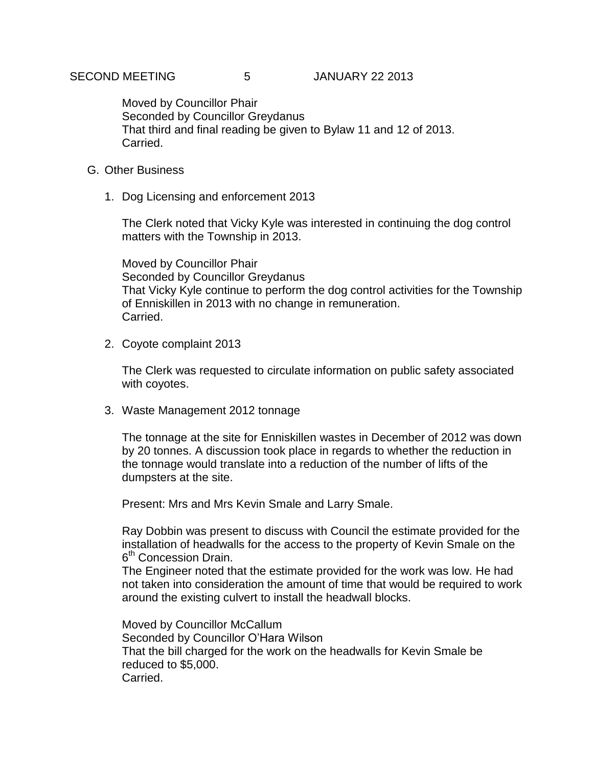Moved by Councillor Phair Seconded by Councillor Greydanus That third and final reading be given to Bylaw 11 and 12 of 2013. Carried.

- G. Other Business
	- 1. Dog Licensing and enforcement 2013

The Clerk noted that Vicky Kyle was interested in continuing the dog control matters with the Township in 2013.

Moved by Councillor Phair Seconded by Councillor Greydanus That Vicky Kyle continue to perform the dog control activities for the Township of Enniskillen in 2013 with no change in remuneration. Carried.

2. Coyote complaint 2013

The Clerk was requested to circulate information on public safety associated with coyotes.

3. Waste Management 2012 tonnage

The tonnage at the site for Enniskillen wastes in December of 2012 was down by 20 tonnes. A discussion took place in regards to whether the reduction in the tonnage would translate into a reduction of the number of lifts of the dumpsters at the site.

Present: Mrs and Mrs Kevin Smale and Larry Smale.

Ray Dobbin was present to discuss with Council the estimate provided for the installation of headwalls for the access to the property of Kevin Smale on the 6<sup>th</sup> Concession Drain.

The Engineer noted that the estimate provided for the work was low. He had not taken into consideration the amount of time that would be required to work around the existing culvert to install the headwall blocks.

Moved by Councillor McCallum Seconded by Councillor O'Hara Wilson That the bill charged for the work on the headwalls for Kevin Smale be reduced to \$5,000. Carried.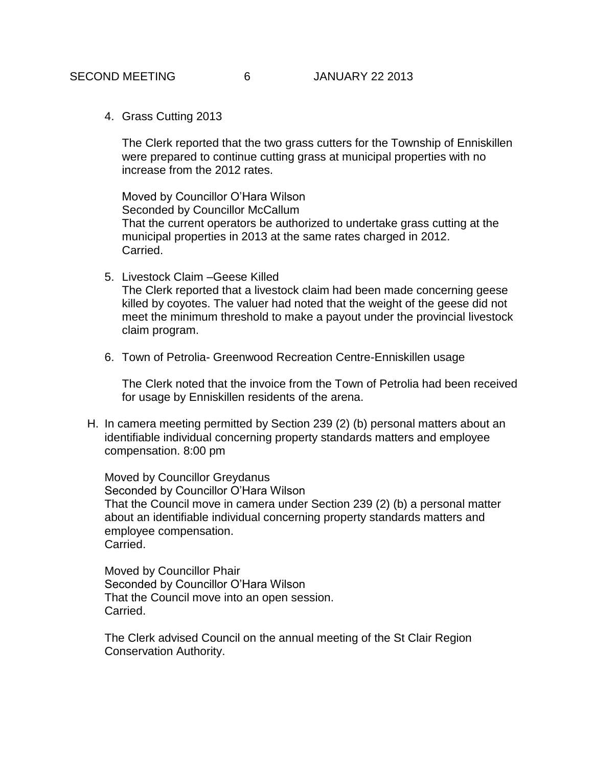4. Grass Cutting 2013

The Clerk reported that the two grass cutters for the Township of Enniskillen were prepared to continue cutting grass at municipal properties with no increase from the 2012 rates.

Moved by Councillor O'Hara Wilson Seconded by Councillor McCallum That the current operators be authorized to undertake grass cutting at the municipal properties in 2013 at the same rates charged in 2012. Carried.

5. Livestock Claim –Geese Killed

The Clerk reported that a livestock claim had been made concerning geese killed by coyotes. The valuer had noted that the weight of the geese did not meet the minimum threshold to make a payout under the provincial livestock claim program.

6. Town of Petrolia- Greenwood Recreation Centre-Enniskillen usage

The Clerk noted that the invoice from the Town of Petrolia had been received for usage by Enniskillen residents of the arena.

H. In camera meeting permitted by Section 239 (2) (b) personal matters about an identifiable individual concerning property standards matters and employee compensation. 8:00 pm

Moved by Councillor Greydanus Seconded by Councillor O'Hara Wilson That the Council move in camera under Section 239 (2) (b) a personal matter about an identifiable individual concerning property standards matters and employee compensation. Carried.

Moved by Councillor Phair Seconded by Councillor O'Hara Wilson That the Council move into an open session. Carried.

The Clerk advised Council on the annual meeting of the St Clair Region Conservation Authority.